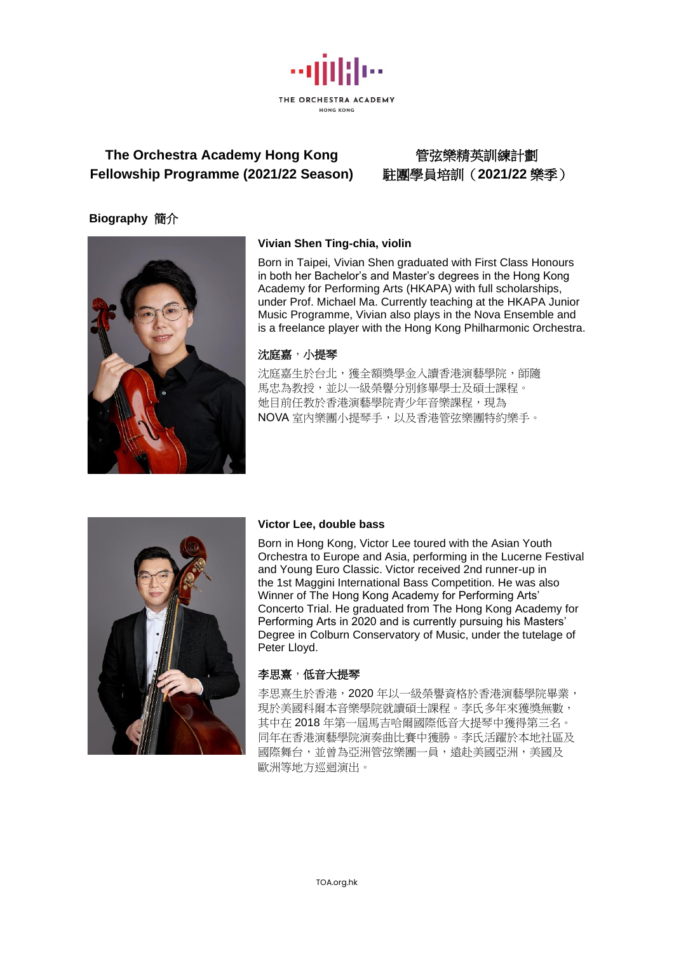

# **The Orchestra Academy Hong Kong** 管弦樂精英訓練計劃 **Fellowship Programme (2021/22 Season)** 駐團學員培訓(**2021/22** 樂季)

# **Biography** 簡介



# **Vivian Shen Ting-chia, violin**

Born in Taipei, Vivian Shen graduated with First Class Honours in both her Bachelor's and Master's degrees in the Hong Kong Academy for Performing Arts (HKAPA) with full scholarships, under Prof. Michael Ma. Currently teaching at the HKAPA Junior Music Programme, Vivian also plays in the Nova Ensemble and is a freelance player with the Hong Kong Philharmonic Orchestra.

## 沈庭嘉,小提琴

沈庭嘉生於台北,獲全額獎學金入讀香港演藝學院,師隨 馬忠為教授,並以一級榮譽分別修畢學士及碩士課程。 她目前任教於香港演藝學院青少年音樂課程,現為 NOVA 室內樂團小提琴手,以及香港管弦樂團特約樂手。



#### **Victor Lee, double bass**

Born in Hong Kong, Victor Lee toured with the Asian Youth Orchestra to Europe and Asia, performing in the Lucerne Festival and Young Euro Classic. Victor received 2nd runner-up in the 1st Maggini International Bass Competition. He was also Winner of The Hong Kong Academy for Performing Arts' Concerto Trial. He graduated from The Hong Kong Academy for Performing Arts in 2020 and is currently pursuing his Masters' Degree in Colburn Conservatory of Music, under the tutelage of Peter Lloyd.

#### 李思熹,低音大提琴

李思熹生於香港,2020 年以一級榮譽資格於香港演藝學院畢業, 現於美國科爾本音樂學院就讀碩士課程。李氏多年來獲獎無數, 其中在 2018 年第一屆馬吉哈爾國際低音大提琴中獲得第三名。 同年在香港演藝學院演奏曲比賽中獲勝。李氏活躍於本地社區及 國際舞台,並曾為亞洲管弦樂團一員,遠赴美國亞洲,美國及 歐洲等地方巡迴演出。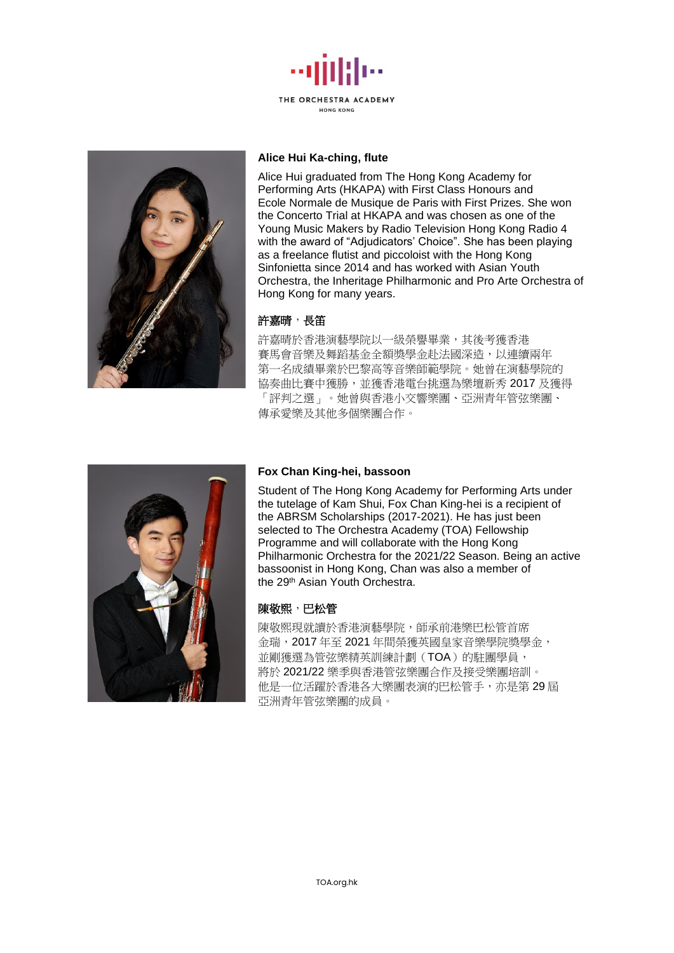



#### **Alice Hui Ka-ching, flute**

Alice Hui graduated from The Hong Kong Academy for Performing Arts (HKAPA) with First Class Honours and Ecole Normale de Musique de Paris with First Prizes. She won the Concerto Trial at HKAPA and was chosen as one of the Young Music Makers by Radio Television Hong Kong Radio 4 with the award of "Adjudicators' Choice". She has been playing as a freelance flutist and piccoloist with the Hong Kong Sinfonietta since 2014 and has worked with Asian Youth Orchestra, the Inheritage Philharmonic and Pro Arte Orchestra of Hong Kong for many years.

#### 許嘉晴,長笛

許嘉晴於香港演藝學院以一級榮譽畢業,其後考獲香港 賽馬會音樂及舞蹈基金全額獎學金赴法國深造,以連續兩年 第一名成績畢業於巴黎高等音樂師範學院。她曾在演藝學院的 協奏曲比賽中獲勝,並獲香港電台挑選為樂壇新秀 2017 及獲得 「評判之選」。她曾與香港小交響樂團、亞洲青年管弦樂團、 傳承愛樂及其他多個樂團合作。



### **Fox Chan King-hei, bassoon**

Student of The Hong Kong Academy for Performing Arts under the tutelage of Kam Shui, Fox Chan King-hei is a recipient of the ABRSM Scholarships (2017-2021). He has just been selected to The Orchestra Academy (TOA) Fellowship Programme and will collaborate with the Hong Kong Philharmonic Orchestra for the 2021/22 Season. Being an active bassoonist in Hong Kong, Chan was also a member of the 29th Asian Youth Orchestra.

#### 陳敬熙,巴松管

陳敬熙現就讀於香港演藝學院,師承前港樂巴松管首席 金瑞,2017 年至 2021 年間榮獲英國皇家音樂學院獎學金, 並剛獲選為管弦樂精英訓練計劃(TOA)的駐團學員, 將於 2021/22 樂季與香港管弦樂團合作及接受樂團培訓。 他是一位活躍於香港各大樂團表演的巴松管手,亦是第 29 屆 亞洲青年管弦樂團的成員。